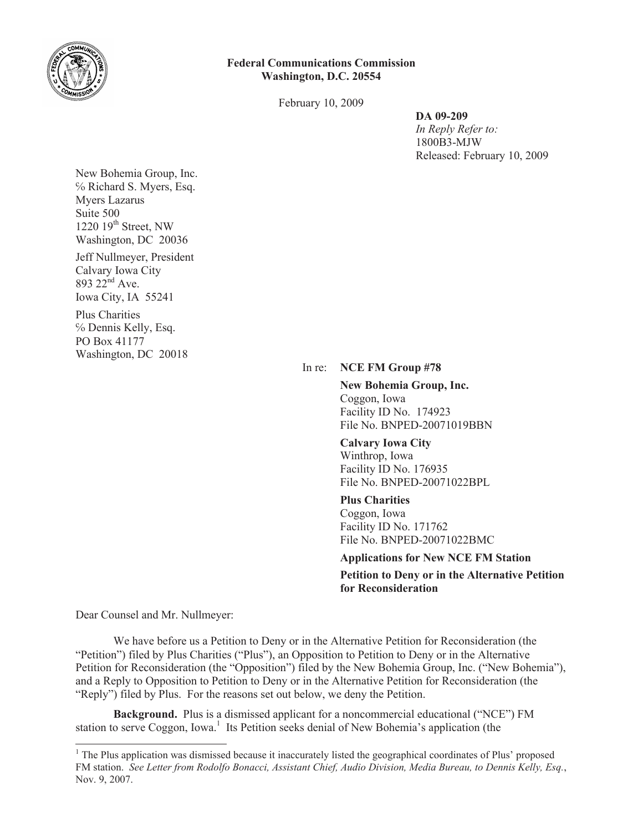

## **Federal Communications Commission Washington, D.C. 20554**

February 10, 2009

**DA 09-209**

*In Reply Refer to:* 1800B3-MJW Released: February 10, 2009

New Bohemia Group, Inc. ℅ Richard S. Myers, Esq. Myers Lazarus Suite 500 1220  $19<sup>th</sup>$  Street, NW Washington, DC 20036

Jeff Nullmeyer, President Calvary Iowa City  $893 22<sup>nd</sup>$  Ave. Iowa City, IA 55241

Plus Charities ℅ Dennis Kelly, Esq. PO Box 41177 Washington, DC 20018

## In re: **NCE FM Group #78**

**New Bohemia Group, Inc.** Coggon, Iowa Facility ID No. 174923 File No. BNPED-20071019BBN

## **Calvary Iowa City**

Winthrop, Iowa Facility ID No. 176935 File No. BNPED-20071022BPL

## **Plus Charities**

Coggon, Iowa Facility ID No. 171762 File No. BNPED-20071022BMC

**Applications for New NCE FM Station**

**Petition to Deny or in the Alternative Petition for Reconsideration**

Dear Counsel and Mr. Nullmeyer:

We have before us a Petition to Deny or in the Alternative Petition for Reconsideration (the "Petition") filed by Plus Charities ("Plus"), an Opposition to Petition to Deny or in the Alternative Petition for Reconsideration (the "Opposition") filed by the New Bohemia Group, Inc. ("New Bohemia"), and a Reply to Opposition to Petition to Deny or in the Alternative Petition for Reconsideration (the "Reply") filed by Plus. For the reasons set out below, we deny the Petition.

**Background.** Plus is a dismissed applicant for a noncommercial educational ("NCE") FM station to serve Coggon, Iowa.<sup>1</sup> Its Petition seeks denial of New Bohemia's application (the

<sup>&</sup>lt;sup>1</sup> The Plus application was dismissed because it inaccurately listed the geographical coordinates of Plus' proposed FM station. *See Letter from Rodolfo Bonacci, Assistant Chief, Audio Division, Media Bureau, to Dennis Kelly, Esq.*, Nov. 9, 2007.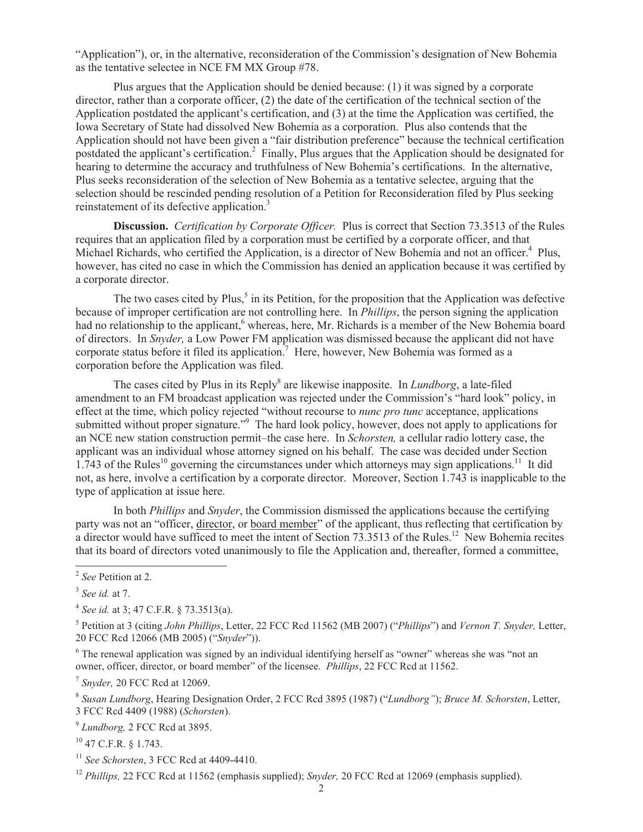"Application"), or, in the alternative, reconsideration of the Commission's designation of New Bohemia as the tentative selectee in NCE FM MX Group #78.

Plus argues that the Application should be denied because: (1) it was signed by a corporate director, rather than a corporate officer, (2) the date of the certification of the technical section of the Application postdated the applicant's certification, and (3) at the time the Application was certified, the Iowa Secretary of State had dissolved New Bohemia as a corporation. Plus also contends that the Application should not have been given a "fair distribution preference" because the technical certification postdated the applicant's certification.<sup>2</sup> Finally, Plus argues that the Application should be designated for hearing to determine the accuracy and truthfulness of New Bohemia's certifications. In the alternative, Plus seeks reconsideration of the selection of New Bohemia as a tentative selectee, arguing that the selection should be rescinded pending resolution of a Petition for Reconsideration filed by Plus seeking reinstatement of its defective application.<sup>3</sup>

**Discussion.** *Certification by Corporate Officer.* Plus is correct that Section 73.3513 of the Rules requires that an application filed by a corporation must be certified by a corporate officer, and that Michael Richards, who certified the Application, is a director of New Bohemia and not an officer.<sup>4</sup> Plus, however, has cited no case in which the Commission has denied an application because it was certified by a corporate director.

The two cases cited by Plus,<sup>5</sup> in its Petition, for the proposition that the Application was defective because of improper certification are not controlling here. In *Phillips*, the person signing the application had no relationship to the applicant,<sup>6</sup> whereas, here, Mr. Richards is a member of the New Bohemia board of directors. In *Snyder,* a Low Power FM application was dismissed because the applicant did not have corporate status before it filed its application.<sup>7</sup> Here, however, New Bohemia was formed as a corporation before the Application was filed.

The cases cited by Plus in its Reply<sup>8</sup> are likewise inapposite. In *Lundborg*, a late-filed amendment to an FM broadcast application was rejected under the Commission's "hard look" policy, in effect at the time, which policy rejected "without recourse to *nunc pro tunc* acceptance, applications submitted without proper signature."<sup>9</sup> The hard look policy, however, does not apply to applications for an NCE new station construction permit–the case here. In *Schorsten,* a cellular radio lottery case, the applicant was an individual whose attorney signed on his behalf. The case was decided under Section 1.743 of the Rules<sup>10</sup> governing the circumstances under which attorneys may sign applications.<sup>11</sup> It did not, as here, involve a certification by a corporate director. Moreover, Section 1.743 is inapplicable to the type of application at issue here.

In both *Phillips* and *Snyder*, the Commission dismissed the applications because the certifying party was not an "officer, director, or board member" of the applicant, thus reflecting that certification by a director would have sufficed to meet the intent of Section 73.3513 of the Rules.<sup>12</sup> New Bohemia recites that its board of directors voted unanimously to file the Application and, thereafter, formed a committee,

<sup>6</sup> The renewal application was signed by an individual identifying herself as "owner" whereas she was "not an owner, officer, director, or board member" of the licensee. *Phillips*, 22 FCC Rcd at 11562.

7 *Snyder,* 20 FCC Rcd at 12069.

8 *Susan Lundborg*, Hearing Designation Order, 2 FCC Rcd 3895 (1987) ("*Lundborg"*); *Bruce M. Schorsten*, Letter, 3 FCC Rcd 4409 (1988) (*Schorsten*).

9 *Lundborg,* 2 FCC Rcd at 3895.

<sup>10</sup> 47 C.F.R. § 1.743.

<sup>11</sup> *See Schorsten*, 3 FCC Rcd at 4409-4410.

<sup>12</sup> *Phillips*, 22 FCC Rcd at 11562 (emphasis supplied); *Snyder*, 20 FCC Rcd at 12069 (emphasis supplied).

<sup>2</sup> *See* Petition at 2*.*

<sup>3</sup> *See id.* at 7.

<sup>4</sup> *See id.* at 3; 47 C.F.R. § 73.3513(a).

<sup>5</sup> Petition at 3 (citing *John Phillips*, Letter, 22 FCC Rcd 11562 (MB 2007) ("*Phillips*") and *Vernon T. Snyder,* Letter, 20 FCC Rcd 12066 (MB 2005) ("*Snyder*")).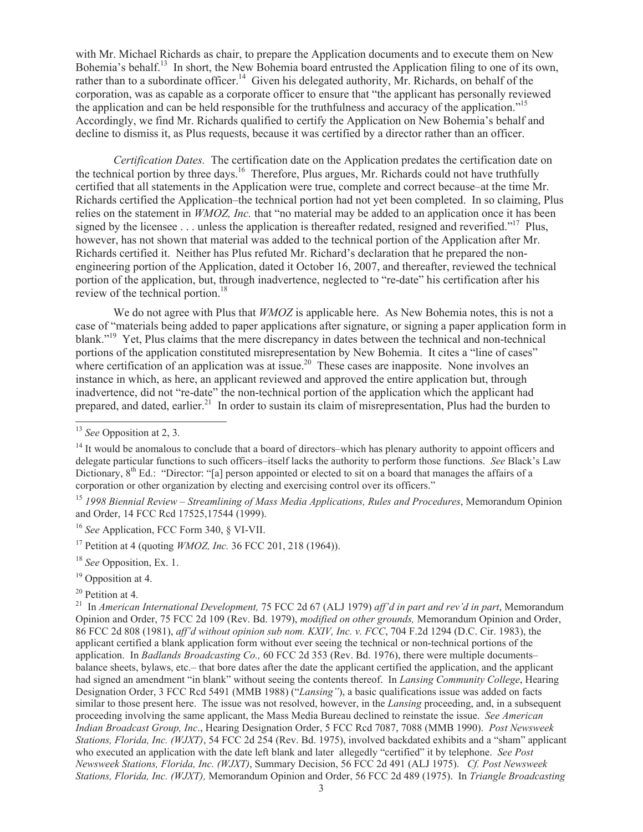with Mr. Michael Richards as chair, to prepare the Application documents and to execute them on New Bohemia's behalf.<sup>13</sup> In short, the New Bohemia board entrusted the Application filing to one of its own, rather than to a subordinate officer.<sup>14</sup> Given his delegated authority, Mr. Richards, on behalf of the corporation, was as capable as a corporate officer to ensure that "the applicant has personally reviewed the application and can be held responsible for the truthfulness and accuracy of the application."<sup>15</sup> Accordingly, we find Mr. Richards qualified to certify the Application on New Bohemia's behalf and decline to dismiss it, as Plus requests, because it was certified by a director rather than an officer.

*Certification Dates.* The certification date on the Application predates the certification date on the technical portion by three days.<sup>16</sup> Therefore, Plus argues, Mr. Richards could not have truthfully certified that all statements in the Application were true, complete and correct because–at the time Mr. Richards certified the Application–the technical portion had not yet been completed. In so claiming, Plus relies on the statement in *WMOZ, Inc.* that "no material may be added to an application once it has been signed by the licensee  $\ldots$  unless the application is thereafter redated, resigned and reverified."<sup>17</sup> Plus, however, has not shown that material was added to the technical portion of the Application after Mr. Richards certified it. Neither has Plus refuted Mr. Richard's declaration that he prepared the nonengineering portion of the Application, dated it October 16, 2007, and thereafter, reviewed the technical portion of the application, but, through inadvertence, neglected to "re-date" his certification after his review of the technical portion.<sup>18</sup>

We do not agree with Plus that *WMOZ* is applicable here. As New Bohemia notes, this is not a case of "materials being added to paper applications after signature, or signing a paper application form in blank."<sup>19</sup> Yet, Plus claims that the mere discrepancy in dates between the technical and non-technical portions of the application constituted misrepresentation by New Bohemia. It cites a "line of cases" where certification of an application was at issue.<sup>20</sup> These cases are inapposite. None involves an instance in which, as here, an applicant reviewed and approved the entire application but, through inadvertence, did not "re-date" the non-technical portion of the application which the applicant had prepared, and dated, earlier.<sup>21</sup> In order to sustain its claim of misrepresentation, Plus had the burden to

<sup>20</sup> Petition at 4.

<sup>13</sup> *See* Opposition at 2, 3.

<sup>&</sup>lt;sup>14</sup> It would be anomalous to conclude that a board of directors–which has plenary authority to appoint officers and delegate particular functions to such officers–itself lacks the authority to perform those functions. *See* Black's Law Dictionary, 8<sup>th</sup> Ed.: "Director: "[a] person appointed or elected to sit on a board that manages the affairs of a corporation or other organization by electing and exercising control over its officers."

<sup>15</sup> *1998 Biennial Review – Streamlining of Mass Media Applications, Rules and Procedures*, Memorandum Opinion and Order, 14 FCC Rcd 17525,17544 (1999).

<sup>16</sup> *See* Application, FCC Form 340, § VI-VII.

<sup>17</sup> Petition at 4 (quoting *WMOZ, Inc.* 36 FCC 201, 218 (1964)).

<sup>18</sup> *See* Opposition, Ex. 1.

<sup>&</sup>lt;sup>19</sup> Opposition at 4.

<sup>21</sup> In *American International Development,* 75 FCC 2d 67 (ALJ 1979) *aff'd in part and rev'd in part*, Memorandum Opinion and Order, 75 FCC 2d 109 (Rev. Bd. 1979), *modified on other grounds,* Memorandum Opinion and Order, 86 FCC 2d 808 (1981), *aff'd without opinion sub nom. KXIV, Inc. v. FCC*, 704 F.2d 1294 (D.C. Cir. 1983), the applicant certified a blank application form without ever seeing the technical or non-technical portions of the application. In *Badlands Broadcasting Co.,* 60 FCC 2d 353 (Rev. Bd. 1976), there were multiple documents– balance sheets, bylaws, etc.– that bore dates after the date the applicant certified the application, and the applicant had signed an amendment "in blank" without seeing the contents thereof. In *Lansing Community College*, Hearing Designation Order, 3 FCC Rcd 5491 (MMB 1988) ("*Lansing"*), a basic qualifications issue was added on facts similar to those present here. The issue was not resolved, however, in the *Lansing* proceeding, and, in a subsequent proceeding involving the same applicant, the Mass Media Bureau declined to reinstate the issue. *See American Indian Broadcast Group, Inc*., Hearing Designation Order, 5 FCC Rcd 7087, 7088 (MMB 1990). *Post Newsweek Stations, Florida, Inc. (WJXT)*, 54 FCC 2d 254 (Rev. Bd. 1975), involved backdated exhibits and a "sham" applicant who executed an application with the date left blank and later allegedly "certified" it by telephone. *See Post Newsweek Stations, Florida, Inc. (WJXT)*, Summary Decision, 56 FCC 2d 491 (ALJ 1975). *Cf. Post Newsweek Stations, Florida, Inc. (WJXT),* Memorandum Opinion and Order, 56 FCC 2d 489 (1975). In *Triangle Broadcasting*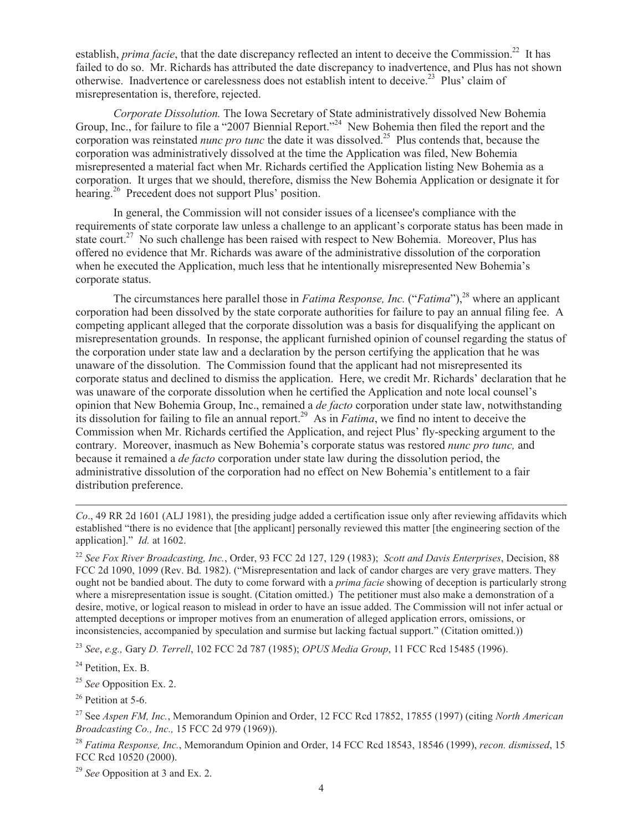establish, *prima facie*, that the date discrepancy reflected an intent to deceive the Commission.<sup>22</sup> It has failed to do so. Mr. Richards has attributed the date discrepancy to inadvertence, and Plus has not shown otherwise. Inadvertence or carelessness does not establish intent to deceive.<sup>23</sup> Plus' claim of misrepresentation is, therefore, rejected.

*Corporate Dissolution.* The Iowa Secretary of State administratively dissolved New Bohemia Group, Inc., for failure to file a "2007 Biennial Report."<sup>24</sup> New Bohemia then filed the report and the corporation was reinstated *nunc pro tunc* the date it was dissolved.<sup>25</sup> Plus contends that, because the corporation was administratively dissolved at the time the Application was filed, New Bohemia misrepresented a material fact when Mr. Richards certified the Application listing New Bohemia as a corporation. It urges that we should, therefore, dismiss the New Bohemia Application or designate it for hearing.<sup>26</sup> Precedent does not support Plus' position.

In general, the Commission will not consider issues of a licensee's compliance with the requirements of state corporate law unless a challenge to an applicant's corporate status has been made in state court.<sup>27</sup> No such challenge has been raised with respect to New Bohemia. Moreover, Plus has offered no evidence that Mr. Richards was aware of the administrative dissolution of the corporation when he executed the Application, much less that he intentionally misrepresented New Bohemia's corporate status.

The circumstances here parallel those in *Fatima Response, Inc.* ("*Fatima*"),<sup>28</sup> where an applicant corporation had been dissolved by the state corporate authorities for failure to pay an annual filing fee. A competing applicant alleged that the corporate dissolution was a basis for disqualifying the applicant on misrepresentation grounds. In response, the applicant furnished opinion of counsel regarding the status of the corporation under state law and a declaration by the person certifying the application that he was unaware of the dissolution. The Commission found that the applicant had not misrepresented its corporate status and declined to dismiss the application. Here, we credit Mr. Richards' declaration that he was unaware of the corporate dissolution when he certified the Application and note local counsel's opinion that New Bohemia Group, Inc., remained a *de facto* corporation under state law, notwithstanding its dissolution for failing to file an annual report.<sup>29</sup> As in *Fatima*, we find no intent to deceive the Commission when Mr. Richards certified the Application, and reject Plus' fly-specking argument to the contrary. Moreover, inasmuch as New Bohemia's corporate status was restored *nunc pro tunc,* and because it remained a *de facto* corporation under state law during the dissolution period, the administrative dissolution of the corporation had no effect on New Bohemia's entitlement to a fair distribution preference.

*Co*., 49 RR 2d 1601 (ALJ 1981), the presiding judge added a certification issue only after reviewing affidavits which established "there is no evidence that [the applicant] personally reviewed this matter [the engineering section of the application]." *Id.* at 1602.

<sup>22</sup> *See Fox River Broadcasting, Inc.*, Order, 93 FCC 2d 127, 129 (1983); *Scott and Davis Enterprises*, Decision, 88 FCC 2d 1090, 1099 (Rev. Bd. 1982). ("Misrepresentation and lack of candor charges are very grave matters. They ought not be bandied about. The duty to come forward with a *prima facie* showing of deception is particularly strong where a misrepresentation issue is sought. (Citation omitted.) The petitioner must also make a demonstration of a desire, motive, or logical reason to mislead in order to have an issue added. The Commission will not infer actual or attempted deceptions or improper motives from an enumeration of alleged application errors, omissions, or inconsistencies, accompanied by speculation and surmise but lacking factual support." (Citation omitted.))

<sup>23</sup> *See*, *e.g.,* Gary *D. Terrell*, 102 FCC 2d 787 (1985); *OPUS Media Group*, 11 FCC Rcd 15485 (1996).

<sup>24</sup> Petition, Ex. B.

<sup>25</sup> *See* Opposition Ex. 2.

 $26$  Petition at 5-6.

<sup>28</sup> *Fatima Response, Inc.*, Memorandum Opinion and Order, 14 FCC Rcd 18543, 18546 (1999), *recon. dismissed*, 15 FCC Rcd 10520 (2000).

<sup>29</sup> *See* Opposition at 3 and Ex. 2.

<sup>27</sup> See *Aspen FM, Inc.*, Memorandum Opinion and Order, 12 FCC Rcd 17852, 17855 (1997) (citing *North American Broadcasting Co., Inc.,* 15 FCC 2d 979 (1969)).